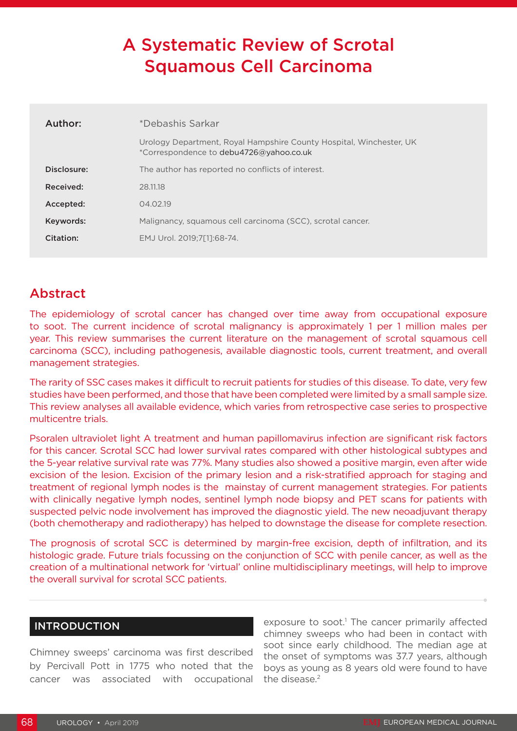# A Systematic Review of Scrotal Squamous Cell Carcinoma

| *Debashis Sarkar                                                                                               |  |
|----------------------------------------------------------------------------------------------------------------|--|
| Urology Department, Royal Hampshire County Hospital, Winchester, UK<br>*Correspondence to debu4726@yahoo.co.uk |  |
| The author has reported no conflicts of interest.                                                              |  |
| 28.11.18                                                                                                       |  |
| 04.02.19                                                                                                       |  |
| Malignancy, squamous cell carcinoma (SCC), scrotal cancer.                                                     |  |
| EMJ Urol. 2019:7[11:68-74.                                                                                     |  |
|                                                                                                                |  |

# Abstract

The epidemiology of scrotal cancer has changed over time away from occupational exposure to soot. The current incidence of scrotal malignancy is approximately 1 per 1 million males per year. This review summarises the current literature on the management of scrotal squamous cell carcinoma (SCC), including pathogenesis, available diagnostic tools, current treatment, and overall management strategies.

The rarity of SSC cases makes it difficult to recruit patients for studies of this disease. To date, very few studies have been performed, and those that have been completed were limited by a small sample size. This review analyses all available evidence, which varies from retrospective case series to prospective multicentre trials.

Psoralen ultraviolet light A treatment and human papillomavirus infection are significant risk factors for this cancer. Scrotal SCC had lower survival rates compared with other histological subtypes and the 5-year relative survival rate was 77%. Many studies also showed a positive margin, even after wide excision of the lesion. Excision of the primary lesion and a risk-stratified approach for staging and treatment of regional lymph nodes is the mainstay of current management strategies. For patients with clinically negative lymph nodes, sentinel lymph node biopsy and PET scans for patients with suspected pelvic node involvement has improved the diagnostic yield. The new neoadjuvant therapy (both chemotherapy and radiotherapy) has helped to downstage the disease for complete resection.

The prognosis of scrotal SCC is determined by margin-free excision, depth of infiltration, and its histologic grade. Future trials focussing on the conjunction of SCC with penile cancer, as well as the creation of a multinational network for 'virtual' online multidisciplinary meetings, will help to improve the overall survival for scrotal SCC patients.

## INTRODUCTION

Chimney sweeps' carcinoma was first described by Percivall Pott in 1775 who noted that the cancer was associated with occupational

exposure to soot.<sup>1</sup> The cancer primarily affected chimney sweeps who had been in contact with soot since early childhood. The median age at the onset of symptoms was 37.7 years, although boys as young as 8 years old were found to have the disease.<sup>2</sup>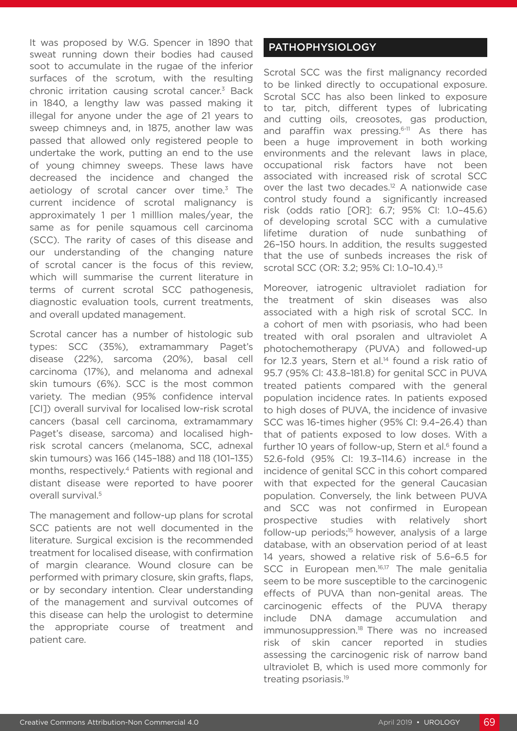It was proposed by W.G. Spencer in 1890 that sweat running down their bodies had caused soot to accumulate in the rugae of the inferior surfaces of the scrotum, with the resulting chronic irritation causing scrotal cancer.3 Back in 1840, a lengthy law was passed making it illegal for anyone under the age of 21 years to sweep chimneys and, in 1875, another law was passed that allowed only registered people to undertake the work, putting an end to the use of young chimney sweeps. These laws have decreased the incidence and changed the aetiology of scrotal cancer over time.<sup>3</sup> The current incidence of scrotal malignancy is approximately 1 per 1 milllion males/year, the same as for penile squamous cell carcinoma (SCC). The rarity of cases of this disease and our understanding of the changing nature of scrotal cancer is the focus of this review, which will summarise the current literature in terms of current scrotal SCC pathogenesis, diagnostic evaluation tools, current treatments, and overall updated management.

Scrotal cancer has a number of histologic sub types: SCC (35%), extramammary Paget's disease (22%), sarcoma (20%), basal cell carcinoma (17%), and melanoma and adnexal skin tumours (6%). SCC is the most common variety. The median (95% confidence interval [CI]) overall survival for localised low-risk scrotal cancers (basal cell carcinoma, extramammary Paget's disease, sarcoma) and localised highrisk scrotal cancers (melanoma, SCC, adnexal skin tumours) was 166 (145–188) and 118 (101–135) months, respectively.4 Patients with regional and distant disease were reported to have poorer overall survival.<sup>5</sup>

The management and follow-up plans for scrotal SCC patients are not well documented in the literature. Surgical excision is the recommended treatment for localised disease, with confirmation of margin clearance. Wound closure can be performed with primary closure, skin grafts, flaps, or by secondary intention. Clear understanding of the management and survival outcomes of this disease can help the urologist to determine the appropriate course of treatment and patient care.

#### PATHOPHYSIOLOGY

Scrotal SCC was the first malignancy recorded to be linked directly to occupational exposure. Scrotal SCC has also been linked to exposure to tar, pitch, different types of lubricating and cutting oils, creosotes, gas production, and paraffin wax pressing.<sup>6-11</sup> As there has been a huge improvement in both working environments and the relevant laws in place, occupational risk factors have not been associated with increased risk of scrotal SCC over the last two decades.12 A nationwide case control study found a significantly increased risk (odds ratio [OR]: 6.7; 95% CI: 1.0–45.6) of developing scrotal SCC with a cumulative lifetime duration of nude sunbathing of 26–150 hours. In addition, the results suggested that the use of sunbeds increases the risk of scrotal SCC (OR: 3.2; 95% CI: 1.0–10.4).13

Moreover, iatrogenic ultraviolet radiation for the treatment of skin diseases was also associated with a high risk of scrotal SCC. In a cohort of men with psoriasis, who had been treated with oral psoralen and ultraviolet A photochemotherapy (PUVA) and followed-up for 12.3 years, Stern et al.<sup>14</sup> found a risk ratio of 95.7 (95% Cl: 43.8–181.8) for genital SCC in PUVA treated patients compared with the general population incidence rates. In patients exposed to high doses of PUVA, the incidence of invasive SCC was 16-times higher (95% CI: 9.4–26.4) than that of patients exposed to low doses. With a further 10 years of follow-up, Stern et al.<sup>6</sup> found a 52.6-fold (95% CI: 19.3–114.6) increase in the incidence of genital SCC in this cohort compared with that expected for the general Caucasian population. Conversely, the link between PUVA and SCC was not confirmed in European prospective studies with relatively short follow-up periods;<sup>15</sup> however, analysis of a large database, with an observation period of at least 14 years, showed a relative risk of 5.6–6.5 for SCC in European men.<sup>16,17</sup> The male genitalia seem to be more susceptible to the carcinogenic effects of PUVA than non-genital areas. The carcinogenic effects of the PUVA therapy include DNA damage accumulation and immunosuppression.<sup>18</sup> There was no increased risk of skin cancer reported in studies assessing the carcinogenic risk of narrow band ultraviolet B, which is used more commonly for treating psoriasis.19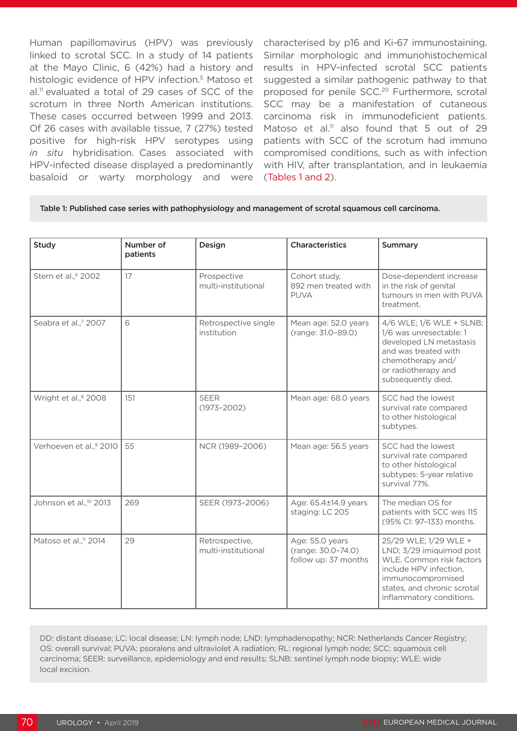Human papillomavirus (HPV) was previously linked to scrotal SCC. In a study of 14 patients at the Mayo Clinic, 6 (42%) had a history and histologic evidence of HPV infection.<sup>5</sup> Matoso et al.<sup>11</sup> evaluated a total of 29 cases of SCC of the scrotum in three North American institutions. These cases occurred between 1999 and 2013. Of 26 cases with available tissue, 7 (27%) tested positive for high-risk HPV serotypes using *in situ* hybridisation. Cases associated with HPV-infected disease displayed a predominantly basaloid or warty morphology and were

characterised by p16 and Ki-67 immunostaining. Similar morphologic and immunohistochemical results in HPV-infected scrotal SCC patients suggested a similar pathogenic pathway to that proposed for penile SCC.20 Furthermore, scrotal SCC may be a manifestation of cutaneous carcinoma risk in immunodeficient patients. Matoso et al.<sup>11</sup> also found that 5 out of 29 patients with SCC of the scrotum had immuno compromised conditions, such as with infection with HIV, after transplantation, and in leukaemia (Tables 1 and 2).

#### Table 1: Published case series with pathophysiology and management of scrotal squamous cell carcinoma.

| <b>Study</b>                       | Number of<br>patients | Design                                | <b>Characteristics</b>                                        | <b>Summary</b>                                                                                                                                                                          |
|------------------------------------|-----------------------|---------------------------------------|---------------------------------------------------------------|-----------------------------------------------------------------------------------------------------------------------------------------------------------------------------------------|
| Stern et al., <sup>6</sup> 2002    | 17                    | Prospective<br>multi-institutional    | Cohort study,<br>892 men treated with<br><b>PUVA</b>          | Dose-dependent increase<br>in the risk of genital<br>tumours in men with PUVA<br>treatment.                                                                                             |
| Seabra et al.,7 2007               | 6                     | Retrospective single<br>institution   | Mean age: 52.0 years<br>(range: 31.0-89.0)                    | 4/6 WLE; 1/6 WLE + SLNB;<br>1/6 was unresectable: 1<br>developed LN metastasis<br>and was treated with<br>chemotherapy and/<br>or radiotherapy and<br>subsequently died.                |
| Wright et al., <sup>8</sup> 2008   | 151                   | <b>SEER</b><br>$(1973 - 2002)$        | Mean age: 68.0 years                                          | SCC had the lowest<br>survival rate compared<br>to other histological<br>subtypes.                                                                                                      |
| Verhoeven et al.,9 2010            | 55                    | NCR (1989-2006)                       | Mean age: 56.5 years                                          | SCC had the lowest<br>survival rate compared<br>to other histological<br>subtypes: 5-year relative<br>survival 77%.                                                                     |
| Johnson et al., <sup>10</sup> 2013 | 269                   | SEER (1973-2006)                      | Age: 65.4±14.9 years<br>staging: LC 205                       | The median OS for<br>patients with SCC was 115<br>(95% Cl: 97-133) months.                                                                                                              |
| Matoso et al., <sup>11</sup> 2014  | 29                    | Retrospective,<br>multi-institutional | Age: 55.0 years<br>(range: 30.0-74.0)<br>follow up: 37 months | 25/29 WLE; 1/29 WLE +<br>LND; 3/29 imiquimod post<br>WLE. Common risk factors<br>include HPV infection,<br>immunocompromised<br>states, and chronic scrotal<br>inflammatory conditions. |

DD: distant disease; LC: local disease; LN: lymph node; LND: lymphadenopathy; NCR: Netherlands Cancer Registry; OS: overall survival; PUVA: psoralens and ultraviolet A radiation; RL: regional lymph node; SCC: squamous cell carcinoma; SEER: surveillance, epidemiology and end results; SLNB: sentinel lymph node biopsy; WLE: wide local excision.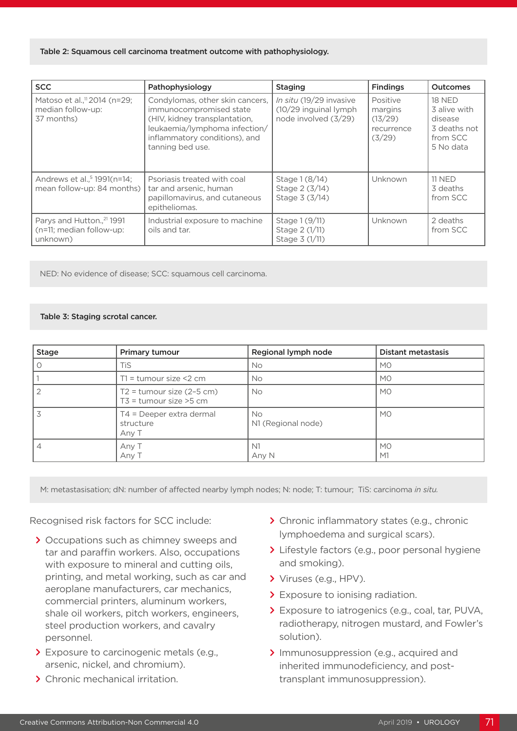#### Table 2: Squamous cell carcinoma treatment outcome with pathophysiology.

| <b>SCC</b>                                                                    | Pathophysiology                                                                                                                                                                   | <b>Staging</b>                                                            | <b>Findings</b>                                        | <b>Outcomes</b>                                                                   |
|-------------------------------------------------------------------------------|-----------------------------------------------------------------------------------------------------------------------------------------------------------------------------------|---------------------------------------------------------------------------|--------------------------------------------------------|-----------------------------------------------------------------------------------|
| Matoso et al., <sup>11</sup> 2014 (n=29;<br>median follow-up:<br>37 months)   | Condylomas, other skin cancers,<br>immunocompromised state<br>(HIV, kidney transplantation,<br>leukaemia/lymphoma infection/<br>inflammatory conditions), and<br>tanning bed use. | In situ (19/29 invasive<br>(10/29 inguinal lymph)<br>node involved (3/29) | Positive<br>margins<br>(13/29)<br>recurrence<br>(3/29) | <b>18 NED</b><br>3 alive with<br>disease<br>3 deaths not<br>from SCC<br>5 No data |
| Andrews et al., <sup>5</sup> 1991(n=14;<br>mean follow-up: 84 months)         | Psoriasis treated with coal<br>tar and arsenic, human<br>papillomavirus, and cutaneous<br>epitheliomas.                                                                           | Stage 1 (8/14)<br>Stage 2 (3/14)<br>Stage 3 (3/14)                        | Unknown                                                | <b>11 NED</b><br>3 deaths<br>from SCC                                             |
| Parys and Hutton., <sup>21</sup> 1991<br>(n=11; median follow-up:<br>unknown) | Industrial exposure to machine<br>oils and tar.                                                                                                                                   | Stage 1 (9/11)<br>Stage 2 (1/11)<br>Stage 3 (1/11)                        | Unknown                                                | 2 deaths<br>from SCC                                                              |

NED: No evidence of disease; SCC: squamous cell carcinoma.

#### Table 3: Staging scrotal cancer.

| <b>Stage</b>   | Primary tumour                                            | Regional lymph node       | <b>Distant metastasis</b> |
|----------------|-----------------------------------------------------------|---------------------------|---------------------------|
| $\circ$        | TiS                                                       | No.                       | M <sub>O</sub>            |
|                | $T1 =$ tumour size <2 cm                                  | No.                       | M <sub>0</sub>            |
| $\overline{2}$ | $T2 =$ tumour size (2-5 cm)<br>$T3$ = tumour size $>5$ cm | <b>No</b>                 | <b>MO</b>                 |
| 3              | T4 = Deeper extra dermal<br>structure<br>Any T            | No.<br>N1 (Regional node) | <b>MO</b>                 |
| $\overline{4}$ | Any T<br>Any T                                            | N <sub>1</sub><br>Any N   | <b>MO</b><br>M1           |

M: metastasisation; dN: number of affected nearby lymph nodes; N: node; T: tumour; TiS: carcinoma *in situ.* 

Recognised risk factors for SCC include:

- **>** Occupations such as chimney sweeps and tar and paraffin workers. Also, occupations with exposure to mineral and cutting oils, printing, and metal working, such as car and aeroplane manufacturers, car mechanics, commercial printers, aluminum workers, shale oil workers, pitch workers, engineers, steel production workers, and cavalry personnel.
- **>** Exposure to carcinogenic metals (e.g., arsenic, nickel, and chromium).
- **>** Chronic mechanical irritation.
- **>** Chronic inflammatory states (e.g., chronic lymphoedema and surgical scars).
- **>** Lifestyle factors (e.g., poor personal hygiene and smoking).
- **>** Viruses (e.g., HPV).
- **>** Exposure to ionising radiation.
- **>** Exposure to iatrogenics (e.g., coal, tar, PUVA, radiotherapy, nitrogen mustard, and Fowler's solution).
- **>** Immunosuppression (e.g., acquired and inherited immunodeficiency, and posttransplant immunosuppression).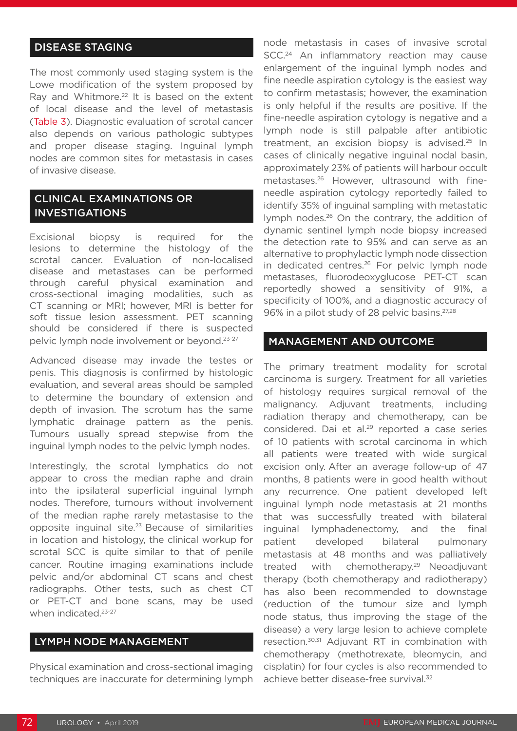### DISEASE STAGING

The most commonly used staging system is the Lowe modification of the system proposed by Ray and Whitmore.<sup>22</sup> It is based on the extent of local disease and the level of metastasis (Table 3). Diagnostic evaluation of scrotal cancer also depends on various pathologic subtypes and proper disease staging. Inguinal lymph nodes are common sites for metastasis in cases of invasive disease.

### CLINICAL EXAMINATIONS OR INVESTIGATIONS

Excisional biopsy is required for the lesions to determine the histology of the scrotal cancer. Evaluation of non-localised disease and metastases can be performed through careful physical examination and cross-sectional imaging modalities, such as CT scanning or MRI; however, MRI is better for soft tissue lesion assessment. PET scanning should be considered if there is suspected pelvic lymph node involvement or beyond.23-27

Advanced disease may invade the testes or penis. This diagnosis is confirmed by histologic evaluation, and several areas should be sampled to determine the boundary of extension and depth of invasion. The scrotum has the same lymphatic drainage pattern as the penis. Tumours usually spread stepwise from the inguinal lymph nodes to the pelvic lymph nodes.

Interestingly, the scrotal lymphatics do not appear to cross the median raphe and drain into the ipsilateral superficial inguinal lymph nodes. Therefore, tumours without involvement of the median raphe rarely metastasise to the opposite inguinal site.23 Because of similarities in location and histology, the clinical workup for scrotal SCC is quite similar to that of penile cancer. Routine imaging examinations include pelvic and/or abdominal CT scans and chest radiographs. Other tests, such as chest CT or PET-CT and bone scans, may be used when indicated.<sup>23-27</sup>

#### LYMPH NODE MANAGEMENT

Physical examination and cross-sectional imaging techniques are inaccurate for determining lymph node metastasis in cases of invasive scrotal SCC.<sup>24</sup> An inflammatory reaction may cause enlargement of the inguinal lymph nodes and fine needle aspiration cytology is the easiest way to confirm metastasis; however, the examination is only helpful if the results are positive. If the fine-needle aspiration cytology is negative and a lymph node is still palpable after antibiotic treatment, an excision biopsy is advised.25 In cases of clinically negative inguinal nodal basin, approximately 23% of patients will harbour occult metastases.26 However, ultrasound with fineneedle aspiration cytology reportedly failed to identify 35% of inguinal sampling with metastatic lymph nodes.<sup>26</sup> On the contrary, the addition of dynamic sentinel lymph node biopsy increased the detection rate to 95% and can serve as an alternative to prophylactic lymph node dissection in dedicated centres.<sup>26</sup> For pelvic lymph node metastases, fluorodeoxyglucose PET-CT scan reportedly showed a sensitivity of 91%, a specificity of 100%, and a diagnostic accuracy of 96% in a pilot study of 28 pelvic basins.27,28

#### MANAGEMENT AND OUTCOME

The primary treatment modality for scrotal carcinoma is surgery. Treatment for all varieties of histology requires surgical removal of the malignancy. Adjuvant treatments, including radiation therapy and chemotherapy, can be considered. Dai et al.<sup>29</sup> reported a case series of 10 patients with scrotal carcinoma in which all patients were treated with wide surgical excision only. After an average follow-up of 47 months, 8 patients were in good health without any recurrence. One patient developed left inguinal lymph node metastasis at 21 months that was successfully treated with bilateral inguinal lymphadenectomy, and the final patient developed bilateral pulmonary metastasis at 48 months and was palliatively treated with chemotherapy.<sup>29</sup> Neoadjuvant therapy (both chemotherapy and radiotherapy) has also been recommended to downstage (reduction of the tumour size and lymph node status, thus improving the stage of the disease) a very large lesion to achieve complete resection.30,31 Adjuvant RT in combination with chemotherapy (methotrexate, bleomycin, and cisplatin) for four cycles is also recommended to achieve better disease-free survival.<sup>32</sup>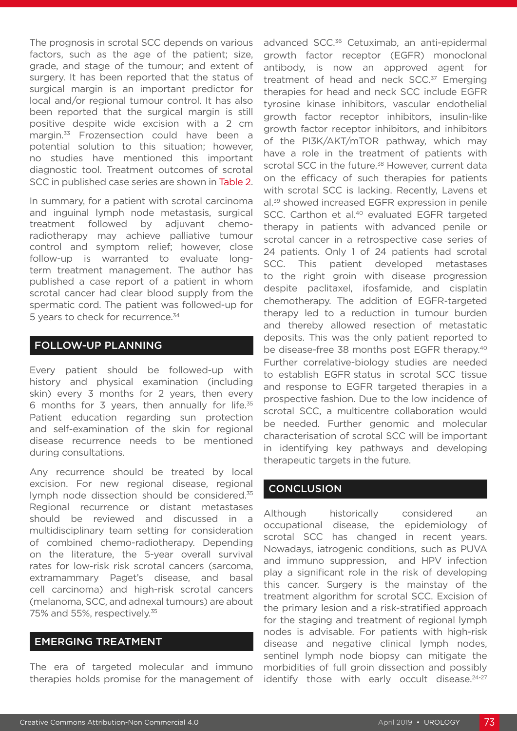The prognosis in scrotal SCC depends on various factors, such as the age of the patient; size, grade, and stage of the tumour; and extent of surgery. It has been reported that the status of surgical margin is an important predictor for local and/or regional tumour control. It has also been reported that the surgical margin is still positive despite wide excision with a 2 cm margin.<sup>33</sup> Frozensection could have been a potential solution to this situation; however, no studies have mentioned this important diagnostic tool. Treatment outcomes of scrotal SCC in published case series are shown in Table 2.

In summary, for a patient with scrotal carcinoma and inguinal lymph node metastasis, surgical treatment followed by adjuvant chemoradiotherapy may achieve palliative tumour control and symptom relief; however, close follow-up is warranted to evaluate longterm treatment management. The author has published a case report of a patient in whom scrotal cancer had clear blood supply from the spermatic cord. The patient was followed-up for 5 years to check for recurrence.<sup>34</sup>

#### FOLLOW-UP PLANNING

Every patient should be followed-up with history and physical examination (including skin) every 3 months for 2 years, then every 6 months for 3 years, then annually for life. $35$ Patient education regarding sun protection and self-examination of the skin for regional disease recurrence needs to be mentioned during consultations.

Any recurrence should be treated by local excision. For new regional disease, regional lymph node dissection should be considered.35 Regional recurrence or distant metastases should be reviewed and discussed in a multidisciplinary team setting for consideration of combined chemo-radiotherapy. Depending on the literature, the 5-year overall survival rates for low-risk risk scrotal cancers (sarcoma, extramammary Paget's disease, and basal cell carcinoma) and high-risk scrotal cancers (melanoma, SCC, and adnexal tumours) are about 75% and 55%, respectively.35

#### EMERGING TREATMENT

The era of targeted molecular and immuno therapies holds promise for the management of advanced SCC.<sup>36</sup> Cetuximab, an anti-epidermal growth factor receptor (EGFR) monoclonal antibody, is now an approved agent for treatment of head and neck SCC.<sup>37</sup> Emerging therapies for head and neck SCC include EGFR tyrosine kinase inhibitors, vascular endothelial growth factor receptor inhibitors, insulin-like growth factor receptor inhibitors, and inhibitors of the PI3K/AKT/mTOR pathway, which may have a role in the treatment of patients with scrotal SCC in the future.<sup>38</sup> However, current data on the efficacy of such therapies for patients with scrotal SCC is lacking. Recently, Lavens et al.39 showed increased EGFR expression in penile SCC. Carthon et al.<sup>40</sup> evaluated EGFR targeted therapy in patients with advanced penile or scrotal cancer in a retrospective case series of 24 patients. Only 1 of 24 patients had scrotal SCC. This patient developed metastases to the right groin with disease progression despite paclitaxel, ifosfamide, and cisplatin chemotherapy. The addition of EGFR-targeted therapy led to a reduction in tumour burden and thereby allowed resection of metastatic deposits. This was the only patient reported to be disease-free 38 months post EGFR therapy.<sup>40</sup> Further correlative-biology studies are needed to establish EGFR status in scrotal SCC tissue and response to EGFR targeted therapies in a prospective fashion. Due to the low incidence of scrotal SCC, a multicentre collaboration would be needed. Further genomic and molecular characterisation of scrotal SCC will be important in identifying key pathways and developing therapeutic targets in the future.

#### **CONCLUSION**

Although historically considered an occupational disease, the epidemiology of scrotal SCC has changed in recent years. Nowadays, iatrogenic conditions, such as PUVA and immuno suppression, and HPV infection play a significant role in the risk of developing this cancer. Surgery is the mainstay of the treatment algorithm for scrotal SCC. Excision of the primary lesion and a risk-stratified approach for the staging and treatment of regional lymph nodes is advisable. For patients with high-risk disease and negative clinical lymph nodes, sentinel lymph node biopsy can mitigate the morbidities of full groin dissection and possibly identify those with early occult disease.<sup>24-27</sup>